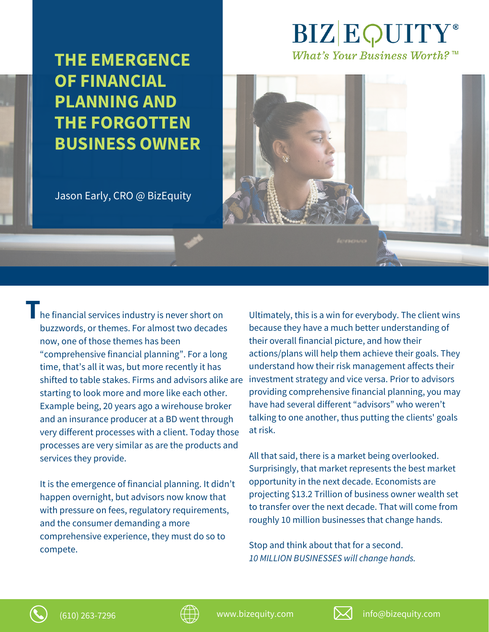**THE EMERGENCE OF FINANCIAL PLANNING AND THE FORGOTTEN BUSINESS OWNER**

## Jason Early, CRO @ BizEquity

he financial services industry is never short on **T** buzzwords, or themes. For almost two decades now, one of those themes has been "comprehensive financial planning". For a long time, that's all it was, but more recently it has shifted to table stakes. Firms and advisors alike are starting to look more and more like each other. Example being, 20 years ago a wirehouse broker and an insurance producer at a BD went through very different processes with a client. Today those processes are very similar as are the products and services they provide.

It is the emergence of financial planning. It didn't happen overnight, but advisors now know that with pressure on fees, regulatory requirements, and the consumer demanding a more comprehensive experience, they must do so to compete.

Ultimately, this is a win for everybody. The client wins because they have a much better understanding of their overall financial picture, and how their actions/plans will help them achieve their goals. They understand how their risk management affects their investment strategy and vice versa. Prior to advisors providing comprehensive financial planning, you may have had several different "advisors" who weren't talking to one another, thus putting the clients' goals at risk.

**BIZEQUITY** 

What's Your Business Worth? TM

All that said, there is a market being overlooked. Surprisingly, that market represents the best market opportunity in the next decade. Economists are projecting \$13.2 Trillion of business owner wealth set to transfer over the next decade. That will come from roughly 10 million businesses that change hands.

Stop and think about that for a second. *10 MILLION BUSINESSES will change hands.*



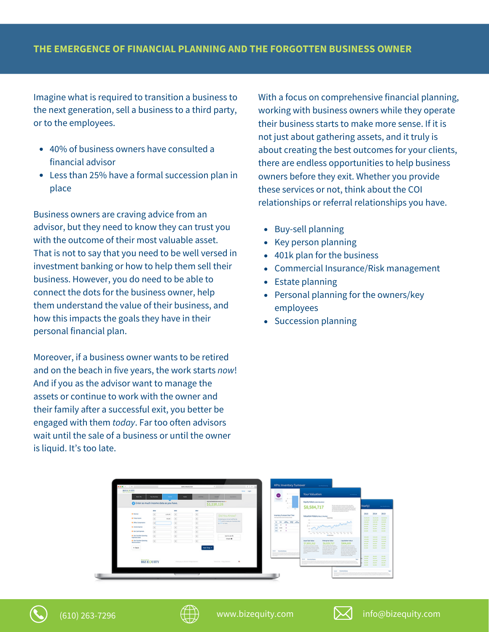Imagine what is required to transition a business to the next generation, sell a business to a third party, or to the employees.

- 40% of business owners have consulted a financial advisor
- Less than 25% have a formal succession plan in place

Business owners are craving advice from an advisor, but they need to know they can trust you with the outcome of their most valuable asset. That is not to say that you need to be well versed in investment banking or how to help them sell their business. However, you do need to be able to connect the dots for the business owner, help them understand the value of their business, and how this impacts the goals they have in their personal financial plan.

Moreover, if a business owner wants to be retired and on the beach in five years, the work starts *now*! And if you as the advisor want to manage the assets or continue to work with the owner and their family after a successful exit, you better be engaged with them *today*. Far too often advisors wait until the sale of a business or until the owner is liquid. It's too late.

With a focus on comprehensive financial planning, working with business owners while they operate their business starts to make more sense. If it is not just about gathering assets, and it truly is about creating the best outcomes for your clients, there are endless opportunities to help business owners before they exit. Whether you provide these services or not, think about the COI relationships or referral relationships you have.

- Buy-sell planning
- Key person planning
- 401k plan for the business
- Commercial Insurance/Risk management
- Estate planning  $\bullet$
- Personal planning for the owners/key employees
- Succession planning